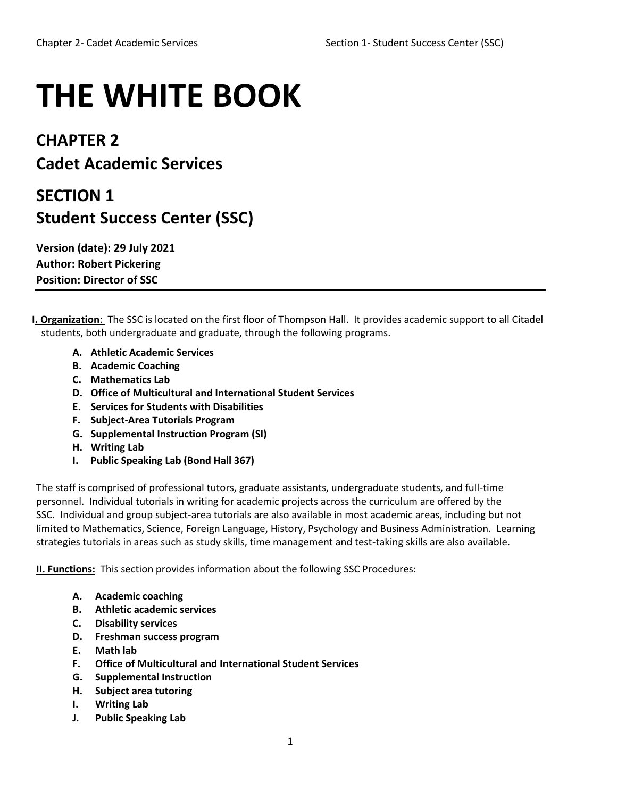## **THE WHITE BOOK**

## **CHAPTER 2 Cadet Academic Services**

## **SECTION 1 Student Success Center (SSC)**

**Version (date): 29 July 2021 Author: Robert Pickering Position: Director of SSC**

- **I. Organization**: The SSC is located on the first floor of Thompson Hall. It provides academic support to all Citadel students, both undergraduate and graduate, through the following programs.
	- **A. Athletic Academic Services**
	- **B. Academic Coaching**
	- **C. Mathematics Lab**
	- **D. Office of Multicultural and International Student Services**
	- **E. Services for Students with Disabilities**
	- **F. Subject-Area Tutorials Program**
	- **G. Supplemental Instruction Program (SI)**
	- **H. Writing Lab**
	- **I. Public Speaking Lab (Bond Hall 367)**

The staff is comprised of professional tutors, graduate assistants, undergraduate students, and full-time personnel. Individual tutorials in writing for academic projects across the curriculum are offered by the SSC. Individual and group subject-area tutorials are also available in most academic areas, including but not limited to Mathematics, Science, Foreign Language, History, Psychology and Business Administration. Learning strategies tutorials in areas such as study skills, time management and test-taking skills are also available.

**II. Functions:** This section provides information about the following SSC Procedures:

- **A. Academic coaching**
- **B. Athletic academic services**
- **C. Disability services**
- **D. Freshman success program**
- **E. Math lab**
- **F. Office of Multicultural and International Student Services**
- **G. Supplemental Instruction**
- **H. Subject area tutoring**
- **I. Writing Lab**
- **J. Public Speaking Lab**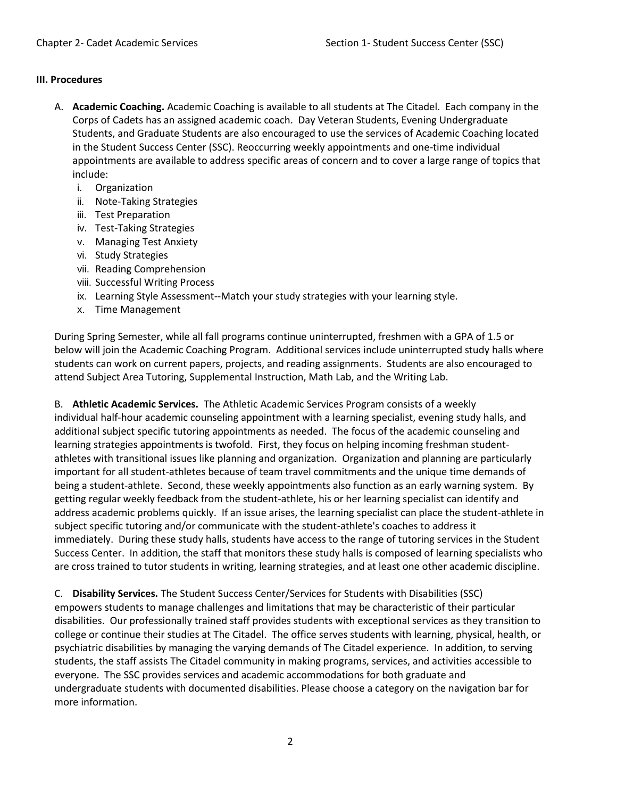## **III. Procedures**

- A. **Academic Coaching.** Academic Coaching is available to all students at The Citadel. Each company in the Corps of Cadets has an assigned academic coach. Day Veteran Students, Evening Undergraduate Students, and Graduate Students are also encouraged to use the services of Academic Coaching located in the Student Success Center (SSC). Reoccurring weekly appointments and one-time individual appointments are available to address specific areas of concern and to cover a large range of topics that include:
	- i. Organization
	- ii. Note-Taking Strategies
	- iii. Test Preparation
	- iv. Test-Taking Strategies
	- v. Managing Test Anxiety
	- vi. Study Strategies
	- vii. Reading Comprehension
	- viii. Successful Writing Process
	- ix. Learning Style Assessment--Match your study strategies with your learning style.
	- x. Time Management

During Spring Semester, while all fall programs continue uninterrupted, freshmen with a GPA of 1.5 or below will join the Academic Coaching Program. Additional services include uninterrupted study halls where students can work on current papers, projects, and reading assignments. Students are also encouraged to attend Subject Area Tutoring, Supplemental Instruction, Math Lab, and the Writing Lab.

B. **Athletic Academic Services.** The Athletic Academic Services Program consists of a weekly individual half-hour academic counseling appointment with a learning specialist, evening study halls, and additional subject specific tutoring appointments as needed. The focus of the academic counseling and learning strategies appointments is twofold. First, they focus on helping incoming freshman studentathletes with transitional issues like planning and organization. Organization and planning are particularly important for all student-athletes because of team travel commitments and the unique time demands of being a student-athlete. Second, these weekly appointments also function as an early warning system. By getting regular weekly feedback from the student-athlete, his or her learning specialist can identify and address academic problems quickly. If an issue arises, the learning specialist can place the student-athlete in subject specific tutoring and/or communicate with the student-athlete's coaches to address it immediately. During these study halls, students have access to the range of tutoring services in the Student Success Center. In addition, the staff that monitors these study halls is composed of learning specialists who are cross trained to tutor students in writing, learning strategies, and at least one other academic discipline.

C. **Disability Services.** The Student Success Center/Services for Students with Disabilities (SSC) empowers students to manage challenges and limitations that may be characteristic of their particular disabilities. Our professionally trained staff provides students with exceptional services as they transition to college or continue their studies at The Citadel. The office serves students with learning, physical, health, or psychiatric disabilities by managing the varying demands of The Citadel experience. In addition, to serving students, the staff assists The Citadel community in making programs, services, and activities accessible to everyone. The SSC provides services and academic accommodations for both graduate and undergraduate students with documented disabilities. Please choose a category on the navigation bar for more information.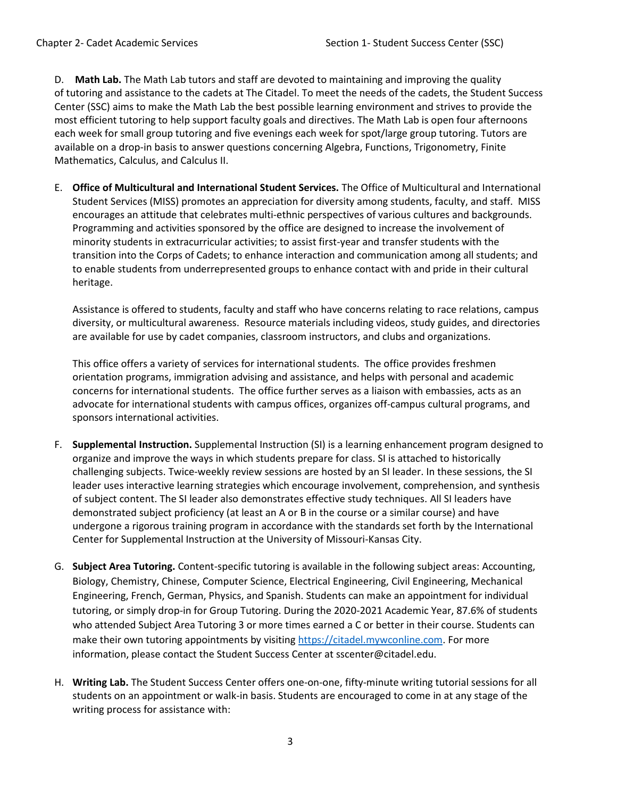D. **Math Lab.** The Math Lab tutors and staff are devoted to maintaining and improving the quality of tutoring and assistance to the cadets at The Citadel. To meet the needs of the cadets, the Student Success Center (SSC) aims to make the Math Lab the best possible learning environment and strives to provide the most efficient tutoring to help support faculty goals and directives. The Math Lab is open four afternoons each week for small group tutoring and five evenings each week for spot/large group tutoring. Tutors are available on a drop-in basis to answer questions concerning Algebra, Functions, Trigonometry, Finite Mathematics, Calculus, and Calculus II.

E. **Office of Multicultural and International Student Services.** The Office of Multicultural and International Student Services (MISS) promotes an appreciation for diversity among students, faculty, and staff. MISS encourages an attitude that celebrates multi-ethnic perspectives of various cultures and backgrounds. Programming and activities sponsored by the office are designed to increase the involvement of minority students in extracurricular activities; to assist first-year and transfer students with the transition into the Corps of Cadets; to enhance interaction and communication among all students; and to enable students from underrepresented groups to enhance contact with and pride in their cultural heritage.

Assistance is offered to students, faculty and staff who have concerns relating to race relations, campus diversity, or multicultural awareness. Resource materials including videos, study guides, and directories are available for use by cadet companies, classroom instructors, and clubs and organizations.

This office offers a variety of services for international students. The office provides freshmen orientation programs, immigration advising and assistance, and helps with personal and academic concerns for international students. The office further serves as a liaison with embassies, acts as an advocate for international students with campus offices, organizes off-campus cultural programs, and sponsors international activities.

- F. **Supplemental Instruction.** Supplemental Instruction (SI) is a learning enhancement program designed to organize and improve the ways in which students prepare for class. SI is attached to historically challenging subjects. Twice-weekly review sessions are hosted by an SI leader. In these sessions, the SI leader uses interactive learning strategies which encourage involvement, comprehension, and synthesis of subject content. The SI leader also demonstrates effective study techniques. All SI leaders have demonstrated subject proficiency (at least an A or B in the course or a similar course) and have undergone a rigorous training program in accordance with the standards set forth by the International Center for Supplemental Instruction at the University of Missouri-Kansas City.
- G. **Subject Area Tutoring.** Content-specific tutoring is available in the following subject areas: Accounting, Biology, Chemistry, Chinese, Computer Science, Electrical Engineering, Civil Engineering, Mechanical Engineering, French, German, Physics, and Spanish. Students can make an appointment for individual tutoring, or simply drop-in for Group Tutoring. During the 2020-2021 Academic Year, 87.6% of students who attended Subject Area Tutoring 3 or more times earned a C or better in their course. Students can make their own tutoring appointments by visiting [https://citadel.mywconline.com.](about:blank) For more information, please contact the Student Success Center at sscenter@citadel.edu.
- H. **Writing Lab.** The Student Success Center offers one-on-one, fifty-minute writing tutorial sessions for all students on an appointment or walk-in basis. Students are encouraged to come in at any stage of the writing process for assistance with: